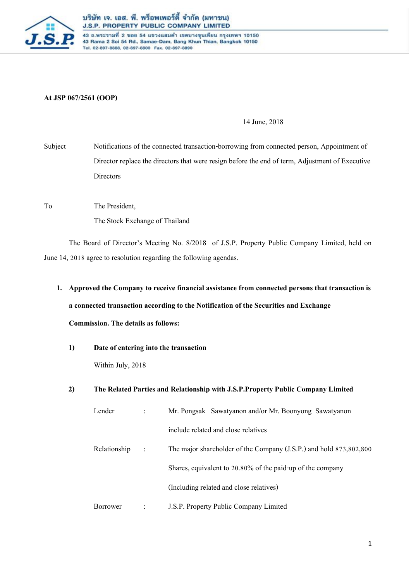

43 ถ.พระรามที่ 2 ชอย 54 แขวงแสมดำ เขตบางขุนเทียน กรุงเทพฯ 10150 43 Rama 2 Soi 54 Rd., Samae-Dam, Bang Khun Thian, Bangkok 10150 Tel. 02-897-8888, 02-897-8800 Fax. 02-897-8890

### **At JSP 067/2561 (OOP)**

#### 14 June, 2018

Subject Notifications of the connected transaction-borrowing from connected person, Appointment of Director replace the directors that were resign before the end of term, Adjustment of Executive **Directors** 

To The President,

The Stock Exchange of Thailand

The Board of Director's Meeting No. 8/2018 of J.S.P. Property Public Company Limited, held on June 14, 2018 agree to resolution regarding the following agendas.

**1. Approved the Company to receive financial assistance from connected persons that transaction is a connected transaction according to the Notification of the Securities and Exchange** 

### **Commission. The details as follows:**

**1) Date of entering into the transaction**

Within July, 2018

### **2) The Related Parties and Relationship with J.S.P.Property Public Company Limited**

| Lender       |   | Mr. Pongsak Sawatyanon and/or Mr. Boonyong Sawatyanon              |
|--------------|---|--------------------------------------------------------------------|
|              |   | include related and close relatives                                |
| Relationship | ÷ | The major shareholder of the Company (J.S.P.) and hold 873,802,800 |
|              |   | Shares, equivalent to 20.80% of the paid-up of the company         |
|              |   | (Including related and close relatives)                            |
| Borrower     |   | J.S.P. Property Public Company Limited                             |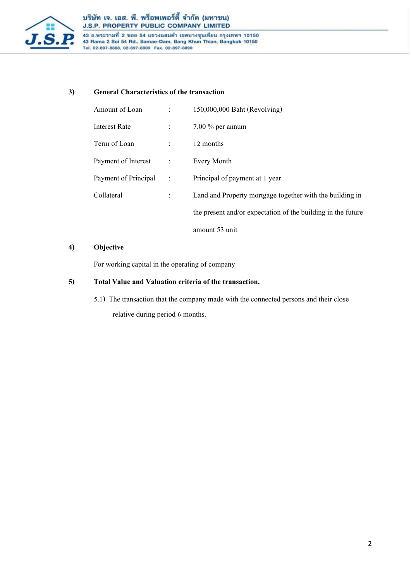

43 ถ.พระรามที่ 2 ชอย 54 แขวงแสมดำ เขตบางขุนเทียน กรุงเทพฯ 10150<br>43 Rama 2 Soi 54 Rd., Samae-Dam, Bang Khun Thian, Bangkok 10150<br>Tel. 02-897-8888, 02-897-8800 Fax. 02-897-8890

### **3) General Characteristics of the transaction**

| Amount of Loan       | $\ddot{\cdot}$              | 150,000,000 Baht (Revolving)                                 |
|----------------------|-----------------------------|--------------------------------------------------------------|
| Interest Rate        |                             | $7.00\%$ per annum                                           |
| Term of Loan         |                             | 12 months                                                    |
| Payment of Interest  | $\sim$ $\sim$ $\sim$ $\sim$ | Every Month                                                  |
| Payment of Principal | $\ddot{\cdot}$              | Principal of payment at 1 year                               |
| Collateral           |                             | Land and Property mortgage together with the building in     |
|                      |                             | the present and/or expectation of the building in the future |
|                      |                             | amount 53 unit                                               |

### **4) Objective**

For working capital in the operating of company

### **5) Total Value and Valuationcriteria of the transaction.**

5.1) The transaction that the company made with the connected persons and their close relative during period 6 months.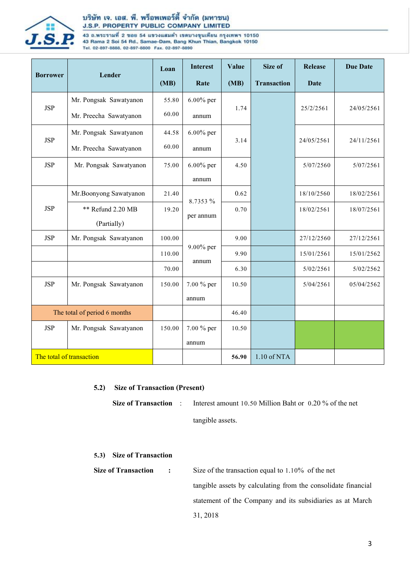

### บริษัท เจ. เอส. พี. พร็อพเพอร์ตี้ จำกัด (มหาชน) J.S.P. PROPERTY PUBLIC COMPANY LIMITED

43 ถ.พระรามที่ 2 ชอย 54 แขวงแสมดำ เขตบางขุนเทียน กรุงเทพฯ 10150<br>43 Rama 2 Soi 54 Rd., Samae-Dam, Bang Khun Thian, Bangkok 10150 Tel. 02-897-8888, 02-897-8800 Fax. 02-897-8890

|                              | Lender                   | Loan   | <b>Interest</b>       | Value | Size of            | <b>Release</b> | <b>Due Date</b> |
|------------------------------|--------------------------|--------|-----------------------|-------|--------------------|----------------|-----------------|
| <b>Borrower</b>              |                          | (MB)   | Rate                  | (MB)  | <b>Transaction</b> | <b>Date</b>    |                 |
|                              | Mr. Pongsak Sawatyanon   | 55.80  | $6.00\%$ per<br>annum | 1.74  |                    |                |                 |
| <b>JSP</b>                   | Mr. Preecha Sawatyanon   | 60.00  |                       |       |                    | 25/2/2561      | 24/05/2561      |
| <b>JSP</b>                   | Mr. Pongsak Sawatyanon   | 44.58  | $6.00\%$ per<br>annum | 3.14  |                    |                |                 |
|                              | Mr. Preecha Sawatyanon   | 60.00  |                       |       |                    | 24/05/2561     | 24/11/2561      |
| <b>JSP</b>                   | Mr. Pongsak Sawatyanon   | 75.00  | $6.00\%$ per          | 4.50  |                    | 5/07/2560      | 5/07/2561       |
|                              |                          |        | annum                 |       |                    |                |                 |
| <b>JSP</b>                   | Mr.Boonyong Sawatyanon   | 21.40  | 8.7353 %<br>per annum | 0.62  |                    | 18/10/2560     | 18/02/2561      |
|                              | ** Refund 2.20 MB        | 19.20  |                       | 0.70  |                    | 18/02/2561     | 18/07/2561      |
|                              | (Partially)              |        |                       |       |                    |                |                 |
| <b>JSP</b>                   | Mr. Pongsak Sawatyanon   | 100.00 | 9.00% per<br>annum    | 9.00  |                    | 27/12/2560     | 27/12/2561      |
|                              |                          | 110.00 |                       | 9.90  |                    | 15/01/2561     | 15/01/2562      |
|                              |                          | 70.00  |                       | 6.30  |                    | 5/02/2561      | 5/02/2562       |
| <b>JSP</b>                   | Mr. Pongsak Sawatyanon   | 150.00 | 7.00 % per            | 10.50 |                    | 5/04/2561      | 05/04/2562      |
|                              |                          |        | annum                 |       |                    |                |                 |
| The total of period 6 months |                          |        |                       | 46.40 |                    |                |                 |
| <b>JSP</b>                   | Mr. Pongsak Sawatyanon   | 150.00 | 7.00 % per            | 10.50 |                    |                |                 |
|                              |                          |        | annum                 |       |                    |                |                 |
|                              | The total of transaction |        |                       | 56.90 | 1.10 of NTA        |                |                 |

### **5.2) Size of Transaction (Present)**

**Size of Transaction** : Interest amount 10.50 Million Baht or 0.20 % of the net tangible assets.

### **5.3) Size of Transaction**

**Size of Transaction <b>:** Size of the transaction equal to 1.10% of the net tangible assets by calculating from the consolidate financial statement of the Company and its subsidiaries as at March 31, 2018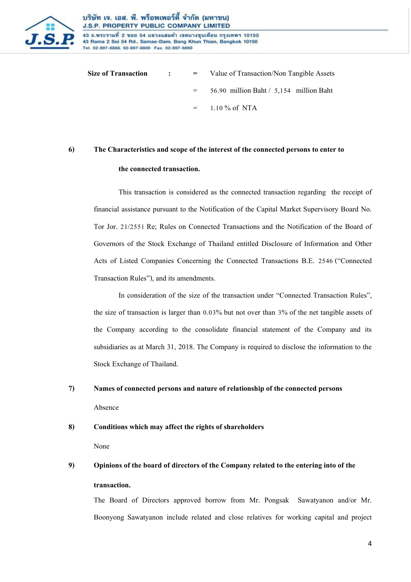

43 ถ.พระรามที่ 2 ชอย 54 แขวงแสมดำ เขตบางขุนเทียน กรุงเทพฯ 10150 43 Rama 2 Soi 54 Rd., Samae-Dam, Bang Khun Thian, Bangkok 10150 Tel. 02-897-8888, 02-897-8800 Fax. 02-897-8890

**Size of Transaction : =** Value of Transaction/Non Tangible Assets = 56.90 million Baht / 5,154 million Baht  $=$  1.10 % of NTA

### **6) The Characteristics and scope of the interest of the connected persons to enter to**

### **the connected transaction.**

This transaction is considered as the connected transaction regarding the receipt of financial assistance pursuant to the Notification of the Capital Market Supervisory Board No. Tor Jor. 21/2551 Re; Rules on Connected Transactions and the Notification of the Board of Governors of the Stock Exchange of Thailand entitled Disclosure of Information and Other Acts of Listed Companies Concerning the Connected Transactions B.E. 2546 ("Connected Transaction Rules"), and its amendments.

In consideration of the size of the transaction under "Connected Transaction Rules", the size of transaction is larger than 0.03% but not over than 3% of the net tangible assets of the Company according to the consolidate financial statement of the Company and its subsidiaries as at March 31, 2018. The Company is required to disclose the information to the Stock Exchange of Thailand.

## **7) Names of connected persons and nature of relationship of the connected persons** Absence

### **8) Conditions which may affect the rights of shareholders**

None

## **9) Opinions of the board of directors of the Company related to the entering into of the transaction.**

The Board of Directors approved borrow from Mr. Pongsak Sawatyanon and/or Mr. Boonyong Sawatyanon include related and close relatives for working capital and project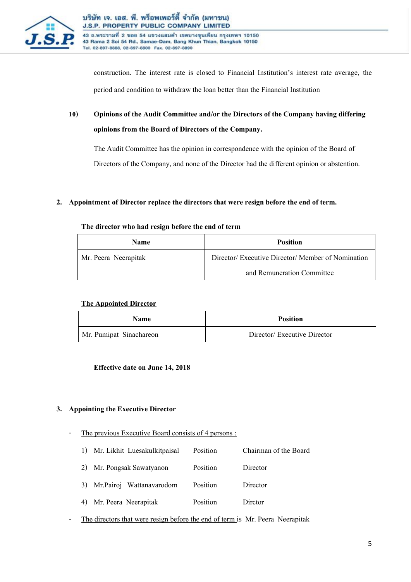

43 ถ.พระรามที่ 2 ชอย 54 แขวงแสมดำ เขตบางขุนเทียน กรุงเทพฯ 10150 43 Rama 2 Soi 54 Rd., Samae-Dam, Bang Khun Thian, Bangkok 10150 Tel. 02-897-8888, 02-897-8800 Fax. 02-897-8890

construction. The interest rate is closed to Financial Institution's interest rate average, the period and condition to withdraw the loan better than the Financial Institution

### **10) Opinions of the Audit Committee and/or the Directors of the Company having differing opinions from the Board of Directors of the Company.**

The Audit Committee has the opinion in correspondence with the opinion of the Board of Directors of the Company, and none of the Director had the different opinion or abstention.

### **2. Appointment of Director replace the directors that were resign before the end of term.**

### The director who had resign before the end of term

| <b>Name</b>          | <b>Position</b>                                    |
|----------------------|----------------------------------------------------|
| Mr. Peera Neerapitak | Director/ Executive Director/ Member of Nomination |
|                      | and Remuneration Committee                         |

### **The Appointed Director**

| <b>Name</b>             | <b>Position</b>             |
|-------------------------|-----------------------------|
| Mr. Pumipat Sinachareon | Director/Executive Director |

### **Effective date on June 14, 2018**

### **3. Appointing the Executive Director**

- The previous Executive Board consists of 4 persons :
	- 1) Mr. Likhit Luesakulkitpaisal Position Chairman of the Board
	- 2) Mr. Pongsak Sawatyanon Position Director
	- 3) Mr.Pairoj Wattanavarodom Position Director
	- 4) Mr. Peera Neerapitak Position Dirctor
- The directors that were resign before the end of term is Mr. Peera Neerapitak